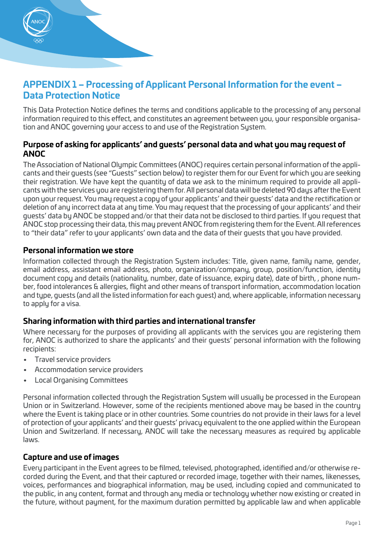

# **APPENDIX 1 – Processing of Applicant Personal Information for the event – Data Protection Notice**

This Data Protection Notice defines the terms and conditions applicable to the processing of any personal information required to this effect, and constitutes an agreement between you, your responsible organisation and ANOC governing your access to and use of the Registration System.

# **Purpose of asking for applicants' and guests' personal data and what you may request of ANOC**

The Association of National Olympic Committees (ANOC) requires certain personal information of the applicants and their guests (see "Guests" section below) to register them for our Event for which you are seeking their registration. We have kept the quantity of data we ask to the minimum required to provide all applicants with the services you are registering them for. All personal data will be deleted 90 days after the Event upon your request. You may request a copy of your applicants' and their guests' data and the rectification or deletion of any incorrect data at any time. You may request that the processing of your applicants' and their guests' data by ANOC be stopped and/or that their data not be disclosed to third parties. If you request that ANOC stop processing their data, this may prevent ANOC from registering them for the Event. All references to "their data" refer to your applicants' own data and the data of their guests that you have provided.

# **Personal information we store**

Information collected through the Registration System includes: Title, given name, family name, gender, email address, assistant email address, photo, organization/company, group, position/function, identity document copy and details (nationality, number, date of issuance, expiry date), date of birth, , phone number, food intolerances & allergies, flight and other means of transport information, accommodation location and type, guests (and all the listed information for each guest) and, where applicable, information necessary to apply for a visa.

# **Sharing information with third parties and international transfer**

Where necessary for the purposes of providing all applicants with the services you are registering them for, ANOC is authorized to share the applicants' and their guests' personal information with the following recipients:

- Travel service providers
- Accommodation service providers
- Local Organising Committees

Personal information collected through the Registration System will usually be processed in the European Union or in Switzerland. However, some of the recipients mentioned above may be based in the country where the Event is taking place or in other countries. Some countries do not provide in their laws for a level of protection of your applicants' and their guests' privacy equivalent to the one applied within the European Union and Switzerland. If necessary, ANOC will take the necessary measures as required by applicable laws.

# **Capture and use of images**

Every participant in the Event agrees to be filmed, televised, photographed, identified and/or otherwise recorded during the Event, and that their captured or recorded image, together with their names, likenesses, voices, performances and biographical information, may be used, including copied and communicated to the public, in any content, format and through any media or technology whether now existing or created in the future, without payment, for the maximum duration permitted by applicable law and when applicable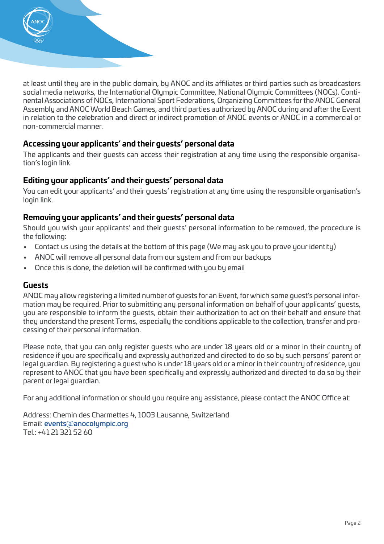

at least until they are in the public domain, by ANOC and its affiliates or third parties such as broadcasters social media networks, the International Olympic Committee, National Olympic Committees (NOCs), Continental Associations of NOCs, International Sport Federations, Organizing Committees for the ANOC General Assembly and ANOC World Beach Games, and third parties authorized by ANOC during and after the Event in relation to the celebration and direct or indirect promotion of ANOC events or ANOC in a commercial or non-commercial manner.

# **Accessing your applicants' and their guests' personal data**

The applicants and their guests can access their registration at any time using the responsible organisation's login link.

#### **Editing your applicants' and their guests' personal data**

You can edit your applicants' and their guests' registration at any time using the responsible organisation's login link.

# **Removing your applicants' and their guests' personal data**

Should you wish your applicants' and their guests' personal information to be removed, the procedure is the following:

- Contact us using the details at the bottom of this page (We may ask you to prove your identity)
- ANOC will remove all personal data from our sustem and from our backups
- Once this is done, the deletion will be confirmed with you by email

#### **Guests**

ANOC may allow registering a limited number of guests for an Event, for which some guest's personal information may be required. Prior to submitting any personal information on behalf of your applicants' guests, you are responsible to inform the guests, obtain their authorization to act on their behalf and ensure that they understand the present Terms, especially the conditions applicable to the collection, transfer and processing of their personal information.

Please note, that you can only register guests who are under 18 years old or a minor in their country of residence if you are specifically and expressly authorized and directed to do so by such persons' parent or legal guardian. By registering a guest who is under 18 years old or a minor in their country of residence, you represent to ANOC that you have been specifically and expressly authorized and directed to do so by their parent or legal guardian.

For any additional information or should you require any assistance, please contact the ANOC Office at:

Address: Chemin des Charmettes 4, 1003 Lausanne, Switzerland Email: [events@anocolympic.org](mailto:events@anocolympic.org) Tel.: +41 21 321 52 60